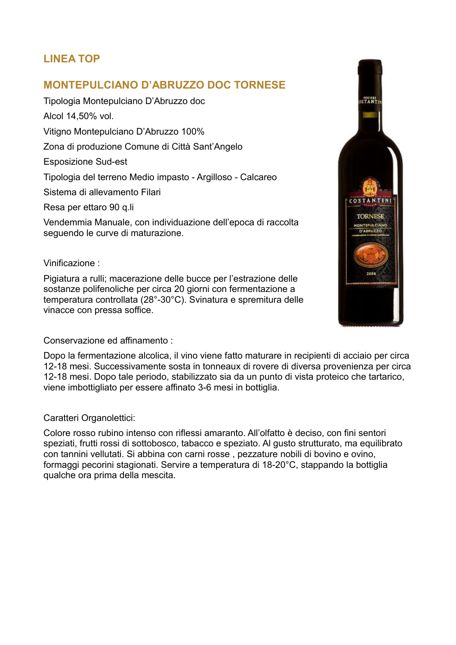# **LINEA TOP**

# **MONTEPULCIANO D'ABRUZZO DOC TORNESE**

Tipologia Montepulciano D'Abruzzo doc Alcol 14,50% vol. Vitigno Montepulciano D'Abruzzo 100% Zona di produzione Comune di Città Sant'Angelo Esposizione Sud-est Tipologia del terreno Medio impasto - Argilloso - Calcareo Sistema di allevamento Filari Resa per ettaro 90 q.li

Vendemmia Manuale, con individuazione dell'epoca di raccolta seguendo le curve di maturazione.

#### Vinificazione :

Pigiatura a rulli; macerazione delle bucce per l'estrazione delle sostanze polifenoliche per circa 20 giorni con fermentazione a temperatura controllata (28°-30°C). Svinatura e spremitura delle vinacce con pressa soffice.



Conservazione ed affinamento :

Dopo la fermentazione alcolica, il vino viene fatto maturare in recipienti di acciaio per circa 12-18 mesi. Successivamente sosta in tonneaux di rovere di diversa provenienza per circa 12-18 mesi. Dopo tale periodo, stabilizzato sia da un punto di vista proteico che tartarico, viene imbottigliato per essere affinato 3-6 mesi in bottiglia.

### Caratteri Organolettici:

Colore rosso rubino intenso con riflessi amaranto. All'olfatto è deciso, con fini sentori speziati, frutti rossi di sottobosco, tabacco e speziato. Al gusto strutturato, ma equilibrato con tannini vellutati. Si abbina con carni rosse , pezzature nobili di bovino e ovino, formaggi pecorini stagionati. Servire a temperatura di 18-20°C, stappando la bottiglia qualche ora prima della mescita.